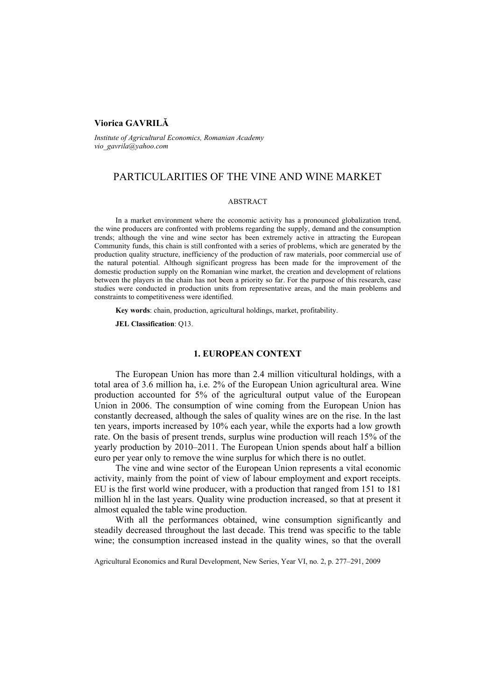# **Viorica GAVRILĂ**

*Institute of Agricultural Economics, Romanian Academy vio\_gavrila@yahoo.com* 

# PARTICULARITIES OF THE VINE AND WINE MARKET

#### ABSTRACT

In a market environment where the economic activity has a pronounced globalization trend, the wine producers are confronted with problems regarding the supply, demand and the consumption trends; although the vine and wine sector has been extremely active in attracting the European Community funds, this chain is still confronted with a series of problems, which are generated by the production quality structure, inefficiency of the production of raw materials, poor commercial use of the natural potential. Although significant progress has been made for the improvement of the domestic production supply on the Romanian wine market, the creation and development of relations between the players in the chain has not been a priority so far. For the purpose of this research, case studies were conducted in production units from representative areas, and the main problems and constraints to competitiveness were identified.

**Key words**: chain, production, agricultural holdings, market, profitability.

**JEL Classification**: Q13.

# **1. EUROPEAN CONTEXT**

The European Union has more than 2.4 million viticultural holdings, with a total area of 3.6 million ha, i.e. 2% of the European Union agricultural area. Wine production accounted for 5% of the agricultural output value of the European Union in 2006. The consumption of wine coming from the European Union has constantly decreased, although the sales of quality wines are on the rise. In the last ten years, imports increased by 10% each year, while the exports had a low growth rate. On the basis of present trends, surplus wine production will reach 15% of the yearly production by 2010–2011. The European Union spends about half a billion euro per year only to remove the wine surplus for which there is no outlet.

The vine and wine sector of the European Union represents a vital economic activity, mainly from the point of view of labour employment and export receipts. EU is the first world wine producer, with a production that ranged from 151 to 181 million hl in the last years. Quality wine production increased, so that at present it almost equaled the table wine production.

With all the performances obtained, wine consumption significantly and steadily decreased throughout the last decade. This trend was specific to the table wine; the consumption increased instead in the quality wines, so that the overall

Agricultural Economics and Rural Development, New Series, Year VI, no. 2, p. 277–291, 2009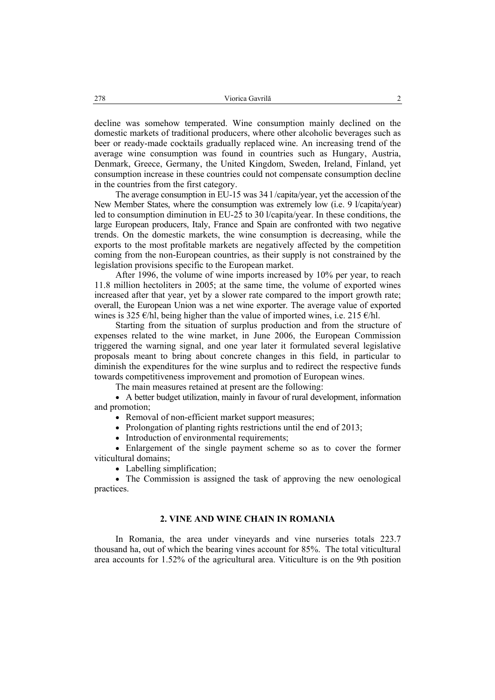decline was somehow temperated. Wine consumption mainly declined on the domestic markets of traditional producers, where other alcoholic beverages such as beer or ready-made cocktails gradually replaced wine. An increasing trend of the average wine consumption was found in countries such as Hungary, Austria, Denmark, Greece, Germany, the United Kingdom, Sweden, Ireland, Finland, yet consumption increase in these countries could not compensate consumption decline in the countries from the first category.

The average consumption in EU-15 was 34 l /capita/year, yet the accession of the New Member States, where the consumption was extremely low (i.e. 9 l/capita/year) led to consumption diminution in EU-25 to 30 l/capita/year. In these conditions, the large European producers, Italy, France and Spain are confronted with two negative trends. On the domestic markets, the wine consumption is decreasing, while the exports to the most profitable markets are negatively affected by the competition coming from the non-European countries, as their supply is not constrained by the legislation provisions specific to the European market.

After 1996, the volume of wine imports increased by 10% per year, to reach 11.8 million hectoliters in 2005; at the same time, the volume of exported wines increased after that year, yet by a slower rate compared to the import growth rate; overall, the European Union was a net wine exporter. The average value of exported wines is 325  $\epsilon$ /hl, being higher than the value of imported wines, i.e. 215  $\epsilon$ /hl.

Starting from the situation of surplus production and from the structure of expenses related to the wine market, in June 2006, the European Commission triggered the warning signal, and one year later it formulated several legislative proposals meant to bring about concrete changes in this field, in particular to diminish the expenditures for the wine surplus and to redirect the respective funds towards competitiveness improvement and promotion of European wines.

The main measures retained at present are the following:

• A better budget utilization, mainly in favour of rural development, information and promotion;

• Removal of non-efficient market support measures:

• Prolongation of planting rights restrictions until the end of 2013;

• Introduction of environmental requirements;

• Enlargement of the single payment scheme so as to cover the former viticultural domains;

• Labelling simplification;

• The Commission is assigned the task of approving the new oenological practices.

### **2. VINE AND WINE CHAIN IN ROMANIA**

In Romania, the area under vineyards and vine nurseries totals 223.7 thousand ha, out of which the bearing vines account for 85%. The total viticultural area accounts for 1.52% of the agricultural area. Viticulture is on the 9th position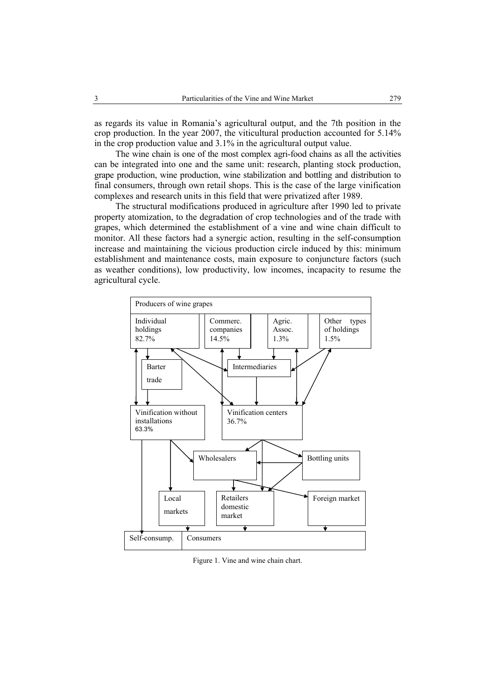as regards its value in Romania's agricultural output, and the 7th position in the crop production. In the year 2007, the viticultural production accounted for 5.14% in the crop production value and 3.1% in the agricultural output value.

The wine chain is one of the most complex agri-food chains as all the activities can be integrated into one and the same unit: research, planting stock production, grape production, wine production, wine stabilization and bottling and distribution to final consumers, through own retail shops. This is the case of the large vinification complexes and research units in this field that were privatized after 1989.

The structural modifications produced in agriculture after 1990 led to private property atomization, to the degradation of crop technologies and of the trade with grapes, which determined the establishment of a vine and wine chain difficult to monitor. All these factors had a synergic action, resulting in the self-consumption increase and maintaining the vicious production circle induced by this: minimum establishment and maintenance costs, main exposure to conjuncture factors (such as weather conditions), low productivity, low incomes, incapacity to resume the agricultural cycle.



Figure 1. Vine and wine chain chart.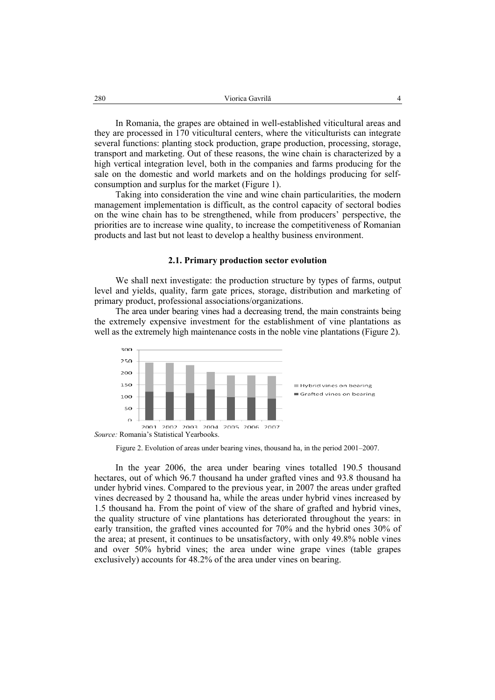In Romania, the grapes are obtained in well-established viticultural areas and they are processed in 170 viticultural centers, where the viticulturists can integrate several functions: planting stock production, grape production, processing, storage, transport and marketing. Out of these reasons, the wine chain is characterized by a high vertical integration level, both in the companies and farms producing for the sale on the domestic and world markets and on the holdings producing for selfconsumption and surplus for the market (Figure 1).

Taking into consideration the vine and wine chain particularities, the modern management implementation is difficult, as the control capacity of sectoral bodies on the wine chain has to be strengthened, while from producers' perspective, the priorities are to increase wine quality, to increase the competitiveness of Romanian products and last but not least to develop a healthy business environment.

#### **2.1. Primary production sector evolution**

We shall next investigate: the production structure by types of farms, output level and yields, quality, farm gate prices, storage, distribution and marketing of primary product, professional associations/organizations.

The area under bearing vines had a decreasing trend, the main constraints being the extremely expensive investment for the establishment of vine plantations as well as the extremely high maintenance costs in the noble vine plantations (Figure 2).



Figure 2. Evolution of areas under bearing vines, thousand ha, in the period 2001–2007.

In the year 2006, the area under bearing vines totalled 190.5 thousand hectares, out of which 96.7 thousand ha under grafted vines and 93.8 thousand ha under hybrid vines. Compared to the previous year, in 2007 the areas under grafted vines decreased by 2 thousand ha, while the areas under hybrid vines increased by 1.5 thousand ha. From the point of view of the share of grafted and hybrid vines, the quality structure of vine plantations has deteriorated throughout the years: in early transition, the grafted vines accounted for 70% and the hybrid ones 30% of the area; at present, it continues to be unsatisfactory, with only 49.8% noble vines and over 50% hybrid vines; the area under wine grape vines (table grapes exclusively) accounts for 48.2% of the area under vines on bearing.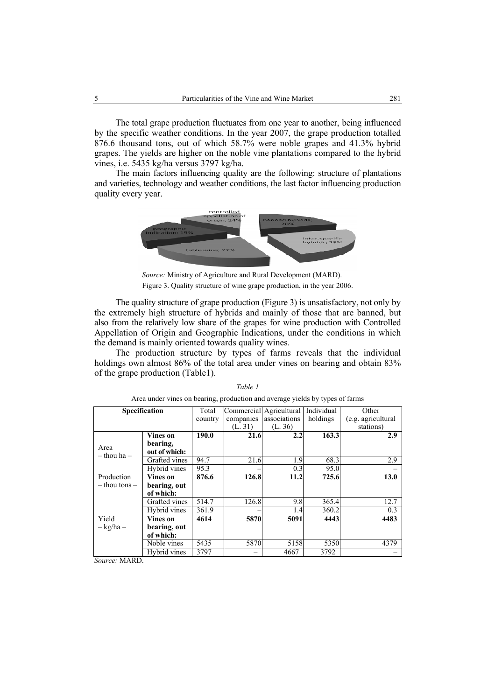The total grape production fluctuates from one year to another, being influenced by the specific weather conditions. In the year 2007, the grape production totalled 876.6 thousand tons, out of which 58.7% were noble grapes and 41.3% hybrid grapes. The yields are higher on the noble vine plantations compared to the hybrid vines, i.e. 5435 kg/ha versus 3797 kg/ha.

The main factors influencing quality are the following: structure of plantations and varieties, technology and weather conditions, the last factor influencing production quality every year.



*Source:* Ministry of Agriculture and Rural Development (MARD). Figure 3. Quality structure of wine grape production, in the year 2006.

The quality structure of grape production (Figure 3) is unsatisfactory, not only by the extremely high structure of hybrids and mainly of those that are banned, but also from the relatively low share of the grapes for wine production with Controlled Appellation of Origin and Geographic Indications, under the conditions in which the demand is mainly oriented towards quality wines.

The production structure by types of farms reveals that the individual holdings own almost 86% of the total area under vines on bearing and obtain 83% of the grape production (Table1).

| Specification           |               | Total   |           | Commercial Agricultural | Individual | Other              |
|-------------------------|---------------|---------|-----------|-------------------------|------------|--------------------|
|                         |               | country | companies | associations            | holdings   | (e.g. agricultural |
|                         |               |         | (L. 31)   | (L. 36)                 |            | stations)          |
|                         | Vines on      | 190.0   | 21.6      | 2.2                     | 163.3      | 2.9                |
|                         | bearing,      |         |           |                         |            |                    |
| Area<br>$-$ thou ha $-$ | out of which: |         |           |                         |            |                    |
|                         | Grafted vines | 94.7    | 21.6      | 1.9                     | 68.3       | 2.9                |
|                         | Hybrid vines  | 95.3    |           | 0.3                     | 95.0       |                    |
| Production              | Vines on      | 876.6   | 126.8     | 11.2                    | 725.6      | 13.0               |
| $-$ thou tons $-$       | bearing, out  |         |           |                         |            |                    |
|                         | of which:     |         |           |                         |            |                    |
|                         | Grafted vines | 514.7   | 126.8     | 9.8                     | 365.4      | 12.7               |
|                         | Hybrid vines  | 361.9   |           | 1.4                     | 360.2      | 0.3                |
| Yield                   | Vines on      | 4614    | 5870      | 5091                    | 4443       | 4483               |
| $-kg/ha -$              | bearing, out  |         |           |                         |            |                    |
|                         | of which:     |         |           |                         |            |                    |
|                         | Noble vines   | 5435    | 5870      | 5158                    | 5350       | 4379               |
|                         | Hybrid vines  | 3797    |           | 4667                    | 3792       |                    |

*Table 1*  Area under vines on bearing, production and average yields by types of farms

*Source:* MARD.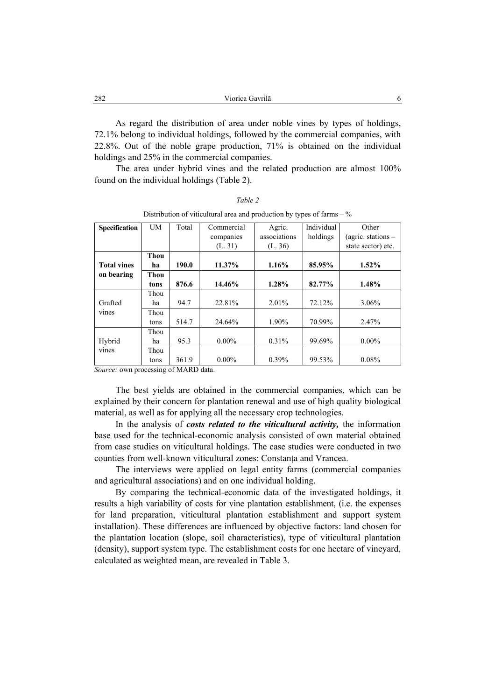| 282<br>Viorica Gavrilă |  |
|------------------------|--|
|------------------------|--|

As regard the distribution of area under noble vines by types of holdings, 72.1% belong to individual holdings, followed by the commercial companies, with 22.8%. Out of the noble grape production, 71% is obtained on the individual holdings and 25% in the commercial companies.

The area under hybrid vines and the related production are almost 100% found on the individual holdings (Table 2).

| Distribution of viticultural area and production by types of farms $-\%$ |             |       |            |              |            |                      |  |
|--------------------------------------------------------------------------|-------------|-------|------------|--------------|------------|----------------------|--|
| <b>Specification</b>                                                     | <b>UM</b>   | Total | Commercial | Agric.       | Individual | Other                |  |
|                                                                          |             |       | companies  | associations | holdings   | (agric. stations $-$ |  |
|                                                                          |             |       | (L. 31)    | (L. 36)      |            | state sector) etc.   |  |
|                                                                          | <b>Thou</b> |       |            |              |            |                      |  |
| <b>Total vines</b>                                                       | ha          | 190.0 | 11.37%     | 1.16%        | 85.95%     | $1.52\%$             |  |
| on bearing                                                               | Thou        |       |            |              |            |                      |  |
|                                                                          | tons        | 876.6 | 14.46%     | 1.28%        | 82.77%     | 1.48%                |  |
|                                                                          | Thou        |       |            |              |            |                      |  |
| Grafted                                                                  | ha          | 94.7  | 22.81%     | 2.01%        | 72.12%     | 3.06%                |  |
| vines                                                                    | Thou        |       |            |              |            |                      |  |
|                                                                          | tons        | 514.7 | 24.64%     | 1.90%        | 70.99%     | 2.47%                |  |
|                                                                          | Thou        |       |            |              |            |                      |  |
| Hybrid                                                                   | ha          | 95.3  | $0.00\%$   | $0.31\%$     | 99.69%     | $0.00\%$             |  |
| vines                                                                    | Thou        |       |            |              |            |                      |  |
|                                                                          | tons        | 361.9 | $0.00\%$   | 0.39%        | 99.53%     | 0.08%                |  |

*Table 2* 

*Source:* own processing of MARD data.

The best yields are obtained in the commercial companies, which can be explained by their concern for plantation renewal and use of high quality biological material, as well as for applying all the necessary crop technologies.

In the analysis of *costs related to the viticultural activity,* the information base used for the technical-economic analysis consisted of own material obtained from case studies on viticultural holdings. The case studies were conducted in two counties from well-known viticultural zones: Constanţa and Vrancea.

The interviews were applied on legal entity farms (commercial companies and agricultural associations) and on one individual holding.

By comparing the technical-economic data of the investigated holdings, it results a high variability of costs for vine plantation establishment, (i.e. the expenses for land preparation, viticultural plantation establishment and support system installation). These differences are influenced by objective factors: land chosen for the plantation location (slope, soil characteristics), type of viticultural plantation (density), support system type. The establishment costs for one hectare of vineyard, calculated as weighted mean, are revealed in Table 3.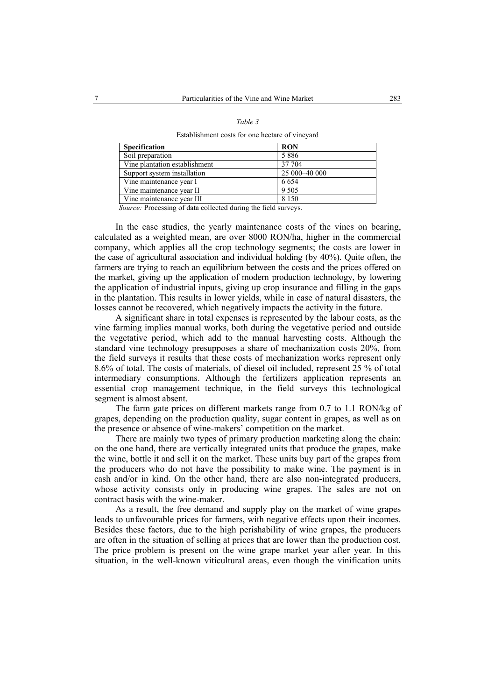| ۰,<br>I |  |
|---------|--|
|---------|--|

Establishment costs for one hectare of vineyard

| <b>Specification</b>           | <b>RON</b>      |
|--------------------------------|-----------------|
| Soil preparation               | 5886            |
| Vine plantation establishment  | 37 704          |
| Support system installation    | 25 000 - 40 000 |
| Vine maintenance year I        | 6 6 5 4         |
| Vine maintenance year II       | 9 5 0 5         |
| Vine maintenance year III<br>. | 8 1 5 0         |

*Source:* Processing of data collected during the field surveys.

In the case studies, the yearly maintenance costs of the vines on bearing, calculated as a weighted mean, are over 8000 RON/ha, higher in the commercial company, which applies all the crop technology segments; the costs are lower in the case of agricultural association and individual holding (by 40%). Quite often, the farmers are trying to reach an equilibrium between the costs and the prices offered on the market, giving up the application of modern production technology, by lowering the application of industrial inputs, giving up crop insurance and filling in the gaps in the plantation. This results in lower yields, while in case of natural disasters, the losses cannot be recovered, which negatively impacts the activity in the future.

A significant share in total expenses is represented by the labour costs, as the vine farming implies manual works, both during the vegetative period and outside the vegetative period, which add to the manual harvesting costs. Although the standard vine technology presupposes a share of mechanization costs 20%, from the field surveys it results that these costs of mechanization works represent only 8.6% of total. The costs of materials, of diesel oil included, represent 25 % of total intermediary consumptions. Although the fertilizers application represents an essential crop management technique, in the field surveys this technological segment is almost absent.

The farm gate prices on different markets range from 0.7 to 1.1 RON/kg of grapes, depending on the production quality, sugar content in grapes, as well as on the presence or absence of wine-makers' competition on the market.

There are mainly two types of primary production marketing along the chain: on the one hand, there are vertically integrated units that produce the grapes, make the wine, bottle it and sell it on the market. These units buy part of the grapes from the producers who do not have the possibility to make wine. The payment is in cash and/or in kind. On the other hand, there are also non-integrated producers, whose activity consists only in producing wine grapes. The sales are not on contract basis with the wine-maker.

As a result, the free demand and supply play on the market of wine grapes leads to unfavourable prices for farmers, with negative effects upon their incomes. Besides these factors, due to the high perishability of wine grapes, the producers are often in the situation of selling at prices that are lower than the production cost. The price problem is present on the wine grape market year after year. In this situation, in the well-known viticultural areas, even though the vinification units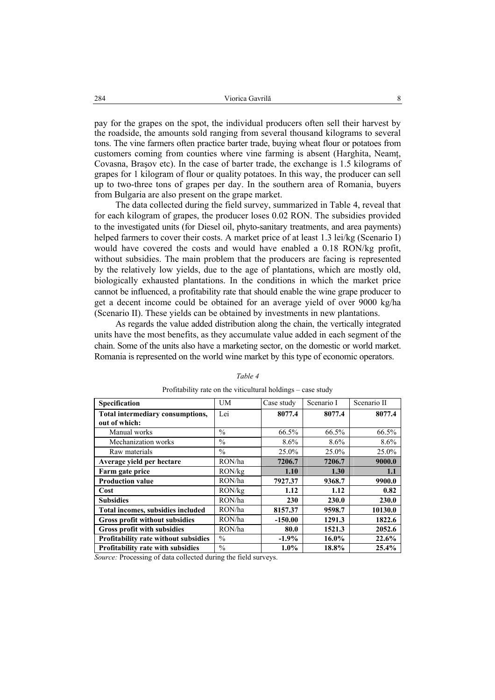pay for the grapes on the spot, the individual producers often sell their harvest by the roadside, the amounts sold ranging from several thousand kilograms to several tons. The vine farmers often practice barter trade, buying wheat flour or potatoes from customers coming from counties where vine farming is absent (Harghita, Neamţ, Covasna, Braşov etc). In the case of barter trade, the exchange is 1.5 kilograms of grapes for 1 kilogram of flour or quality potatoes. In this way, the producer can sell up to two-three tons of grapes per day. In the southern area of Romania, buyers from Bulgaria are also present on the grape market.

The data collected during the field survey, summarized in Table 4, reveal that for each kilogram of grapes, the producer loses 0.02 RON. The subsidies provided to the investigated units (for Diesel oil, phyto-sanitary treatments, and area payments) helped farmers to cover their costs. A market price of at least 1.3 lei/kg (Scenario I) would have covered the costs and would have enabled a 0.18 RON/kg profit, without subsidies. The main problem that the producers are facing is represented by the relatively low yields, due to the age of plantations, which are mostly old, biologically exhausted plantations. In the conditions in which the market price cannot be influenced, a profitability rate that should enable the wine grape producer to get a decent income could be obtained for an average yield of over 9000 kg/ha (Scenario II). These yields can be obtained by investments in new plantations.

As regards the value added distribution along the chain, the vertically integrated units have the most benefits, as they accumulate value added in each segment of the chain. Some of the units also have a marketing sector, on the domestic or world market. Romania is represented on the world wine market by this type of economic operators.

| Specification                               | <b>UM</b>     | Case study | Scenario I | Scenario II |
|---------------------------------------------|---------------|------------|------------|-------------|
| Total intermediary consumptions,            | Lei           | 8077.4     | 8077.4     | 8077.4      |
| out of which:                               |               |            |            |             |
| Manual works                                | $\frac{0}{0}$ | 66.5%      | 66.5%      | 66.5%       |
| Mechanization works                         | $\frac{0}{0}$ | 8.6%       | 8.6%       | 8.6%        |
| Raw materials                               | $\frac{0}{0}$ | 25.0%      | 25.0%      | 25.0%       |
| Average yield per hectare                   | RON/ha        | 7206.7     | 7206.7     | 9000.0      |
| Farm gate price                             | RON/kg        | 1.10       | 1.30       | 1.1         |
| <b>Production value</b>                     | RON/ha        | 7927.37    | 9368.7     | 9900.0      |
| Cost                                        | RON/kg        | 1.12       | 1.12       | 0.82        |
| <b>Subsidies</b>                            | RON/ha        | 230        | 230.0      | 230.0       |
| Total incomes, subsidies included           | RON/ha        | 8157.37    | 9598.7     | 10130.0     |
| Gross profit without subsidies              | RON/ha        | $-150.00$  | 1291.3     | 1822.6      |
| <b>Gross profit with subsidies</b>          | RON/ha        | 80.0       | 1521.3     | 2052.6      |
| <b>Profitability rate without subsidies</b> | $\frac{0}{0}$ | $-1.9%$    | $16.0\%$   | 22.6%       |
| <b>Profitability rate with subsidies</b>    | $\frac{0}{0}$ | $1.0\%$    | 18.8%      | 25.4%       |

#### *Table 4*

Profitability rate on the viticultural holdings – case study

*Source:* Processing of data collected during the field surveys.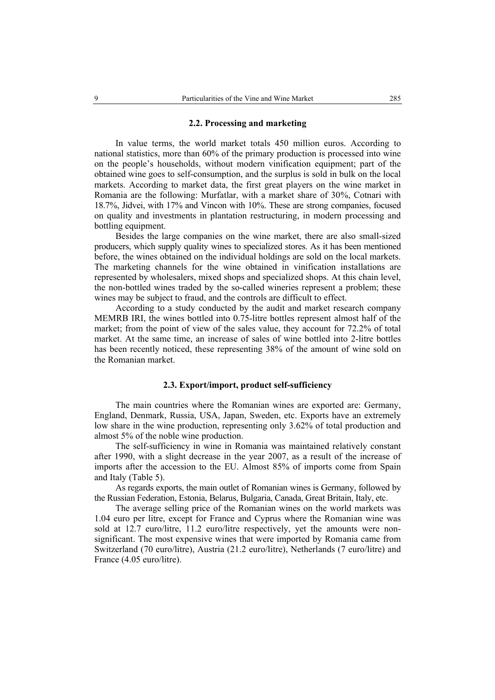### **2.2. Processing and marketing**

In value terms, the world market totals 450 million euros. According to national statistics, more than 60% of the primary production is processed into wine on the people's households, without modern vinification equipment; part of the obtained wine goes to self-consumption, and the surplus is sold in bulk on the local markets. According to market data, the first great players on the wine market in Romania are the following: Murfatlar, with a market share of 30%, Cotnari with 18.7%, Jidvei, with 17% and Vincon with 10%. These are strong companies, focused on quality and investments in plantation restructuring, in modern processing and bottling equipment.

Besides the large companies on the wine market, there are also small-sized producers, which supply quality wines to specialized stores. As it has been mentioned before, the wines obtained on the individual holdings are sold on the local markets. The marketing channels for the wine obtained in vinification installations are represented by wholesalers, mixed shops and specialized shops. At this chain level, the non-bottled wines traded by the so-called wineries represent a problem; these wines may be subject to fraud, and the controls are difficult to effect.

According to a study conducted by the audit and market research company MEMRB IRI, the wines bottled into 0.75-litre bottles represent almost half of the market; from the point of view of the sales value, they account for 72.2% of total market. At the same time, an increase of sales of wine bottled into 2-litre bottles has been recently noticed, these representing 38% of the amount of wine sold on the Romanian market.

#### **2.3. Export/import, product self-sufficiency**

The main countries where the Romanian wines are exported are: Germany, England, Denmark, Russia, USA, Japan, Sweden, etc. Exports have an extremely low share in the wine production, representing only 3.62% of total production and almost 5% of the noble wine production.

The self-sufficiency in wine in Romania was maintained relatively constant after 1990, with a slight decrease in the year 2007, as a result of the increase of imports after the accession to the EU. Almost 85% of imports come from Spain and Italy (Table 5).

As regards exports, the main outlet of Romanian wines is Germany, followed by the Russian Federation, Estonia, Belarus, Bulgaria, Canada, Great Britain, Italy, etc.

The average selling price of the Romanian wines on the world markets was 1.04 euro per litre, except for France and Cyprus where the Romanian wine was sold at 12.7 euro/litre, 11.2 euro/litre respectively, yet the amounts were nonsignificant. The most expensive wines that were imported by Romania came from Switzerland (70 euro/litre), Austria (21.2 euro/litre), Netherlands (7 euro/litre) and France (4.05 euro/litre).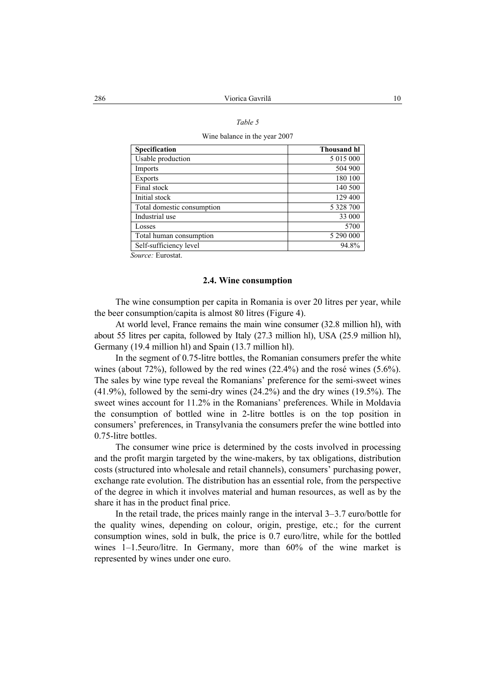### *Table 5*

Wine balance in the year 2007

| Specification              | <b>Thousand hl</b> |
|----------------------------|--------------------|
| Usable production          | 5 015 000          |
| Imports                    | 504 900            |
| Exports                    | 180 100            |
| Final stock                | 140 500            |
| Initial stock              | 129 400            |
| Total domestic consumption | 5 328 700          |
| Industrial use             | 33 000             |
| Losses                     | 5700               |
| Total human consumption    | 5 290 000          |
| Self-sufficiency level     | 94.8%              |

*Source:* Eurostat.

### **2.4. Wine consumption**

The wine consumption per capita in Romania is over 20 litres per year, while the beer consumption/capita is almost 80 litres (Figure 4).

At world level, France remains the main wine consumer (32.8 million hl), with about 55 litres per capita, followed by Italy (27.3 million hl), USA (25.9 million hl), Germany (19.4 million hl) and Spain (13.7 million hl).

In the segment of 0.75-litre bottles, the Romanian consumers prefer the white wines (about 72%), followed by the red wines (22.4%) and the rosé wines (5.6%). The sales by wine type reveal the Romanians' preference for the semi-sweet wines  $(41.9\%)$ , followed by the semi-dry wines  $(24.2\%)$  and the dry wines  $(19.5\%)$ . The sweet wines account for 11.2% in the Romanians' preferences. While in Moldavia the consumption of bottled wine in 2-litre bottles is on the top position in consumers' preferences, in Transylvania the consumers prefer the wine bottled into 0.75-litre bottles.

The consumer wine price is determined by the costs involved in processing and the profit margin targeted by the wine-makers, by tax obligations, distribution costs (structured into wholesale and retail channels), consumers' purchasing power, exchange rate evolution. The distribution has an essential role, from the perspective of the degree in which it involves material and human resources, as well as by the share it has in the product final price.

In the retail trade, the prices mainly range in the interval 3–3.7 euro/bottle for the quality wines, depending on colour, origin, prestige, etc.; for the current consumption wines, sold in bulk, the price is 0.7 euro/litre, while for the bottled wines 1–1.5euro/litre. In Germany, more than 60% of the wine market is represented by wines under one euro.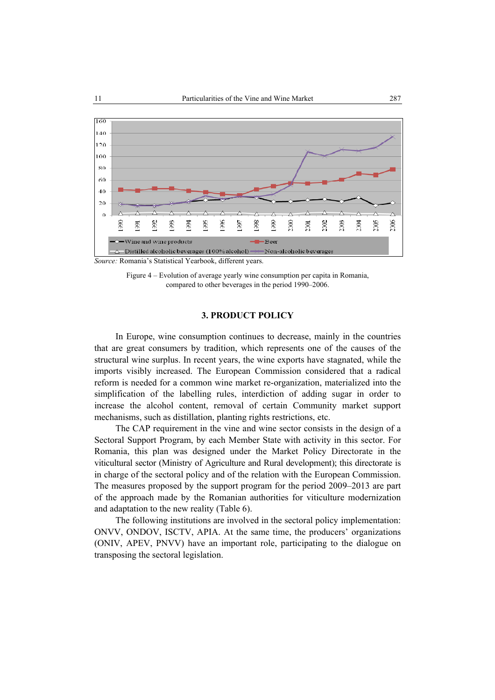

*Source:* Romania's Statistical Yearbook, different years.

# **3. PRODUCT POLICY**

In Europe, wine consumption continues to decrease, mainly in the countries that are great consumers by tradition, which represents one of the causes of the structural wine surplus. In recent years, the wine exports have stagnated, while the imports visibly increased. The European Commission considered that a radical reform is needed for a common wine market re-organization, materialized into the simplification of the labelling rules, interdiction of adding sugar in order to increase the alcohol content, removal of certain Community market support mechanisms, such as distillation, planting rights restrictions, etc.

The CAP requirement in the vine and wine sector consists in the design of a Sectoral Support Program, by each Member State with activity in this sector. For Romania, this plan was designed under the Market Policy Directorate in the viticultural sector (Ministry of Agriculture and Rural development); this directorate is in charge of the sectoral policy and of the relation with the European Commission. The measures proposed by the support program for the period 2009–2013 are part of the approach made by the Romanian authorities for viticulture modernization and adaptation to the new reality (Table 6).

The following institutions are involved in the sectoral policy implementation: ONVV, ONDOV, ISCTV, APIA. At the same time, the producers' organizations (ONIV, APEV, PNVV) have an important role, participating to the dialogue on transposing the sectoral legislation.

Figure 4 – Evolution of average yearly wine consumption per capita in Romania, compared to other beverages in the period 1990–2006.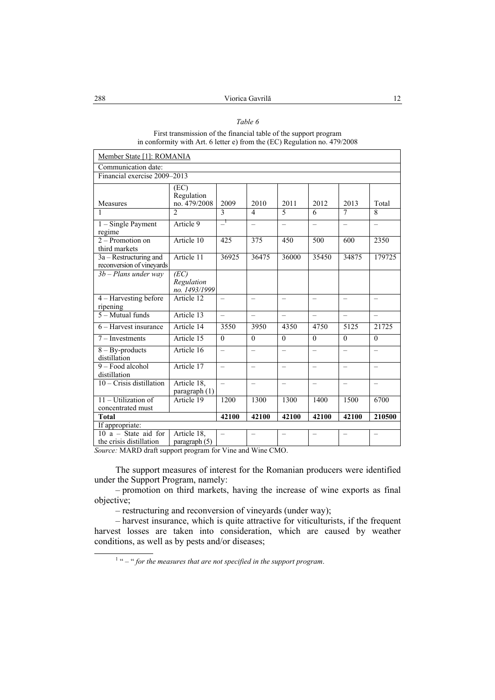# *Table 6*

#### First transmission of the financial table of the support program in conformity with Art. 6 letter e) from the (EC) Regulation no. 479/2008

| Member State [1]: ROMANIA                             |                                              |                          |                          |                          |                          |                          |                          |
|-------------------------------------------------------|----------------------------------------------|--------------------------|--------------------------|--------------------------|--------------------------|--------------------------|--------------------------|
| Communication date:                                   |                                              |                          |                          |                          |                          |                          |                          |
| Financial exercise 2009-2013                          |                                              |                          |                          |                          |                          |                          |                          |
| Measures                                              | (EC)<br>Regulation<br>no. 479/2008           | 2009                     | 2010                     | 2011                     | 2012                     | 2013                     | Total                    |
|                                                       | $\mathfrak{D}$                               | $\mathcal{E}$            | $\overline{4}$           | $\varsigma$              | 6                        | 7                        | $\mathbf{8}$             |
| $1 -$ Single Payment<br>regime                        | Article 9                                    | $\Box$                   | $\overline{\phantom{0}}$ | $\overline{\phantom{0}}$ | $\equiv$                 | $\overline{\phantom{0}}$ | $\overline{\phantom{0}}$ |
| $2 -$ Promotion on<br>third markets                   | Article 10                                   | 425                      | 375                      | 450                      | 500                      | 600                      | 2350                     |
| $3a -$ Restructuring and<br>reconversion of vineyards | Article 11                                   | 36925                    | 36475                    | 36000                    | 35450                    | 34875                    | 179725                   |
| $3b$ – Plans under way                                | (EC)<br>Regulation<br>no. 1493/1999          |                          |                          |                          |                          |                          |                          |
| 4 – Harvesting before<br>ripening                     | Article 12                                   | $\overline{\phantom{0}}$ | $\overline{\phantom{0}}$ | $\overline{\phantom{0}}$ | $\overline{\phantom{0}}$ | $\overline{\phantom{0}}$ | $\overline{\phantom{0}}$ |
| $5 -$ Mutual funds                                    | Article 13                                   | $\overline{\phantom{0}}$ | $\overline{\phantom{0}}$ | $\overline{\phantom{0}}$ | $\overline{\phantom{0}}$ | $\overline{\phantom{0}}$ | $\qquad \qquad -$        |
| 6 – Harvest insurance                                 | Article 14                                   | 3550                     | 3950                     | 4350                     | 4750                     | 5125                     | 21725                    |
| $7$ – Investments                                     | Article 15                                   | $\Omega$                 | $\Omega$                 | $\theta$                 | $\theta$                 | $\theta$                 | $\Omega$                 |
| $8 - By-products$<br>distillation                     | Article 16                                   | $\overline{\phantom{0}}$ | $\overline{\phantom{0}}$ | $\overline{\phantom{0}}$ |                          | $\overline{\phantom{0}}$ | $\overline{\phantom{0}}$ |
| 9 - Food alcohol<br>distillation                      | Article 17                                   | $\overline{\phantom{0}}$ | $\overline{\phantom{0}}$ | $\overline{a}$           | $\overline{\phantom{0}}$ | $\overline{\phantom{0}}$ | $\overline{\phantom{0}}$ |
| $10$ – Crisis distillation                            | Article 18,<br>$\frac{1}{2}$ paragraph $(1)$ | $\overline{\phantom{0}}$ | $\overline{\phantom{0}}$ | $\qquad \qquad -$        | $\overline{\phantom{0}}$ | $\qquad \qquad -$        | $\qquad \qquad -$        |
| 11 - Utilization of<br>concentrated must              | Article 19                                   | 1200                     | 1300                     | 1300                     | 1400                     | 1500                     | 6700                     |
| <b>Total</b>                                          |                                              | 42100                    | 42100                    | 42100                    | 42100                    | 42100                    | 210500                   |
| If appropriate:                                       |                                              |                          |                          |                          |                          |                          |                          |
| $10 a - State$ aid for<br>the crisis distillation     | Article 18,<br>paragraph (5)                 | Ξ.                       |                          |                          |                          | $\overline{\phantom{0}}$ |                          |

*Source:* MARD draft support program for Vine and Wine CMO.

The support measures of interest for the Romanian producers were identified under the Support Program, namely:

– promotion on third markets, having the increase of wine exports as final objective;

– restructuring and reconversion of vineyards (under way);

– harvest insurance, which is quite attractive for viticulturists, if the frequent harvest losses are taken into consideration, which are caused by weather conditions, as well as by pests and/or diseases;

 $\overline{\phantom{a}}$ <sup>1</sup> " – " for the measures that are not specified in the support program.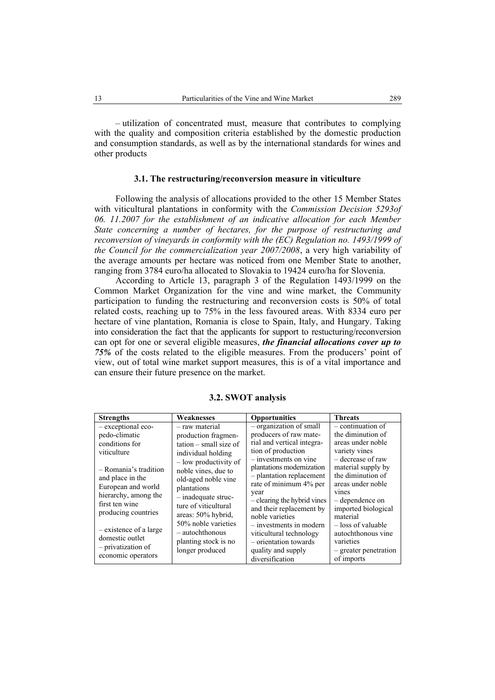– utilization of concentrated must, measure that contributes to complying with the quality and composition criteria established by the domestic production and consumption standards, as well as by the international standards for wines and other products

### **3.1. The restructuring/reconversion measure in viticulture**

Following the analysis of allocations provided to the other 15 Member States with viticultural plantations in conformity with the *Commission Decision 5293of 06. 11.2007 for the establishment of an indicative allocation for each Member State concerning a number of hectares, for the purpose of restructuring and reconversion of vineyards in conformity with the (EC) Regulation no. 1493/1999 of the Council for the commercialization year 2007/2008*, a very high variability of the average amounts per hectare was noticed from one Member State to another, ranging from 3784 euro/ha allocated to Slovakia to 19424 euro/ha for Slovenia.

According to Article 13, paragraph 3 of the Regulation 1493/1999 on the Common Market Organization for the vine and wine market, the Community participation to funding the restructuring and reconversion costs is 50% of total related costs, reaching up to 75% in the less favoured areas. With 8334 euro per hectare of vine plantation, Romania is close to Spain, Italy, and Hungary. Taking into consideration the fact that the applicants for support to restucturing/reconversion can opt for one or several eligible measures, *the financial allocations cover up to 75%* of the costs related to the eligible measures. From the producers' point of view, out of total wine market support measures, this is of a vital importance and can ensure their future presence on the market.

| <b>Strengths</b>                                                                                                                                                                                                                   | Weaknesses                                                                                                                                                                                                                                                                                     | Opportunities                                                                                                                                                                                                                                                                                                                                                   | <b>Threats</b>                                                                                                                                                                                                                                                               |
|------------------------------------------------------------------------------------------------------------------------------------------------------------------------------------------------------------------------------------|------------------------------------------------------------------------------------------------------------------------------------------------------------------------------------------------------------------------------------------------------------------------------------------------|-----------------------------------------------------------------------------------------------------------------------------------------------------------------------------------------------------------------------------------------------------------------------------------------------------------------------------------------------------------------|------------------------------------------------------------------------------------------------------------------------------------------------------------------------------------------------------------------------------------------------------------------------------|
| - exceptional eco-<br>pedo-climatic<br>conditions for<br>viticulture<br>- Romania's tradition<br>and place in the<br>European and world<br>hierarchy, among the<br>first ten wine<br>producing countries<br>- existence of a large | - raw material<br>production fragmen-<br>$tation - small size of$<br>individual holding<br>- low productivity of<br>noble vines, due to<br>old-aged noble vine<br>plantations<br>$-$ inadequate struc-<br>ture of viticultural<br>areas: 50% hybrid,<br>50% noble varieties<br>- autochthonous | - organization of small<br>producers of raw mate-<br>rial and vertical integra-<br>tion of production<br>$-$ investments on vine<br>plantations modernization<br>- plantation replacement<br>rate of minimum 4% per<br>year<br>- clearing the hybrid vines<br>and their replacement by<br>noble varieties<br>- investments in modern<br>viticultural technology | - continuation of<br>the diminution of<br>areas under noble<br>variety vines<br>- decrease of raw<br>material supply by<br>the diminution of<br>areas under noble<br>vines<br>- dependence on<br>imported biological<br>material<br>- loss of valuable<br>autochthonous vine |
| domestic outlet<br>- privatization of<br>economic operators                                                                                                                                                                        | planting stock is no<br>longer produced                                                                                                                                                                                                                                                        | - orientation towards<br>quality and supply                                                                                                                                                                                                                                                                                                                     | varieties<br>- greater penetration                                                                                                                                                                                                                                           |
|                                                                                                                                                                                                                                    |                                                                                                                                                                                                                                                                                                | diversification                                                                                                                                                                                                                                                                                                                                                 | of imports                                                                                                                                                                                                                                                                   |

#### **3.2. SWOT analysis**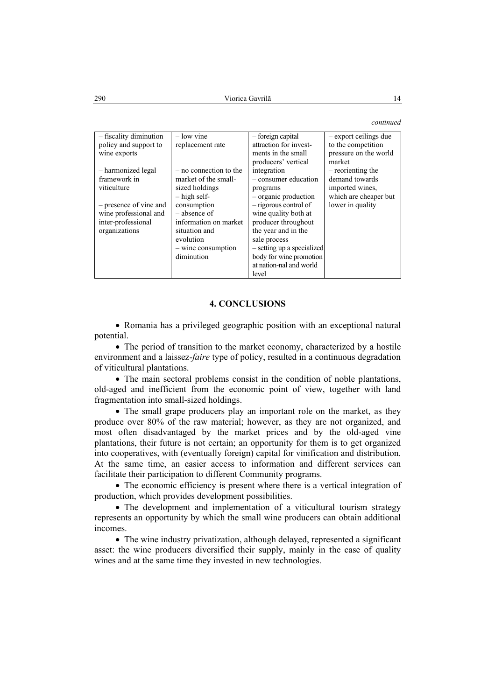*continued* 

| - fiscality diminution | $-$ low vine           | - foreign capital          | - export ceilings due |
|------------------------|------------------------|----------------------------|-----------------------|
| policy and support to  | replacement rate       | attraction for invest-     | to the competition    |
| wine exports           |                        | ments in the small         | pressure on the world |
|                        |                        | producers' vertical        | market                |
| - harmonized legal     | - no connection to the | integration                | - reorienting the     |
| framework in           | market of the small-   | - consumer education       | demand towards        |
| viticulture            | sized holdings         | programs                   | imported wines,       |
|                        | $-$ high self-         | - organic production       | which are cheaper but |
| - presence of vine and | consumption            | - rigorous control of      | lower in quality      |
| wine professional and  | - absence of           | wine quality both at       |                       |
| inter-professional     | information on market  | producer throughout        |                       |
| organizations          | situation and          | the year and in the        |                       |
|                        | evolution              | sale process               |                       |
|                        | $-$ wine consumption   | - setting up a specialized |                       |
|                        | diminution             | body for wine promotion    |                       |
|                        |                        | at nation-nal and world    |                       |
|                        |                        | level                      |                       |

### **4. CONCLUSIONS**

• Romania has a privileged geographic position with an exceptional natural potential.

• The period of transition to the market economy, characterized by a hostile environment and a laissez*-faire* type of policy, resulted in a continuous degradation of viticultural plantations.

• The main sectoral problems consist in the condition of noble plantations, old-aged and inefficient from the economic point of view, together with land fragmentation into small-sized holdings.

• The small grape producers play an important role on the market, as they produce over 80% of the raw material; however, as they are not organized, and most often disadvantaged by the market prices and by the old-aged vine plantations, their future is not certain; an opportunity for them is to get organized into cooperatives, with (eventually foreign) capital for vinification and distribution. At the same time, an easier access to information and different services can facilitate their participation to different Community programs.

• The economic efficiency is present where there is a vertical integration of production, which provides development possibilities.

• The development and implementation of a viticultural tourism strategy represents an opportunity by which the small wine producers can obtain additional incomes.

• The wine industry privatization, although delayed, represented a significant asset: the wine producers diversified their supply, mainly in the case of quality wines and at the same time they invested in new technologies.